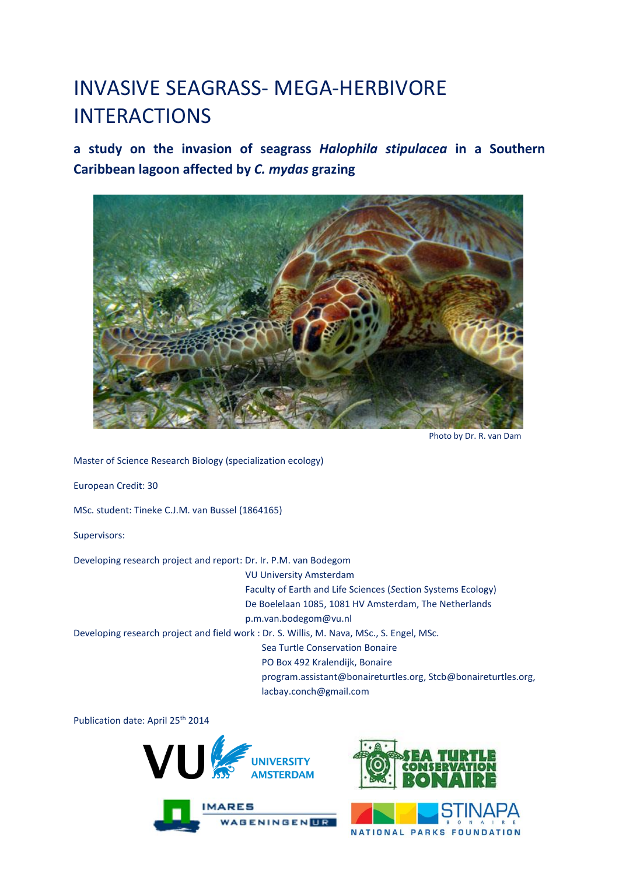## INVASIVE SEAGRASS- MEGA-HERBIVORE INTERACTIONS

**a study on the invasion of seagrass** *Halophila stipulacea* **in a Southern Caribbean lagoon affected by** *C. mydas* **grazing** 



Photo by Dr. R. van Dam

Master of Science Research Biology (specialization ecology)

European Credit: 30

MSc. student: Tineke C.J.M. van Bussel (1864165)

Supervisors:

Developing research project and report: Dr. Ir. P.M. van Bodegom

VU University Amsterdam

Faculty of Earth and Life Sciences (*S*ection Systems Ecology) De Boelelaan 1085, 1081 HV Amsterdam, The Netherlands

p.m.van.bodegom@vu.nl

Developing research project and field work : Dr. S. Willis, M. Nava, MSc., S. Engel, MSc.

Sea Turtle Conservation Bonaire

PO Box 492 Kralendijk, Bonaire

[program.assistant@bonaireturtles.org,](mailto:program.assistant@bonaireturtles.org) [Stcb@bonaireturtles.org,](mailto:Stcb@bonaireturtles.org) lacbay.conch@gmail.com

Publication date: April 25<sup>th</sup> 2014

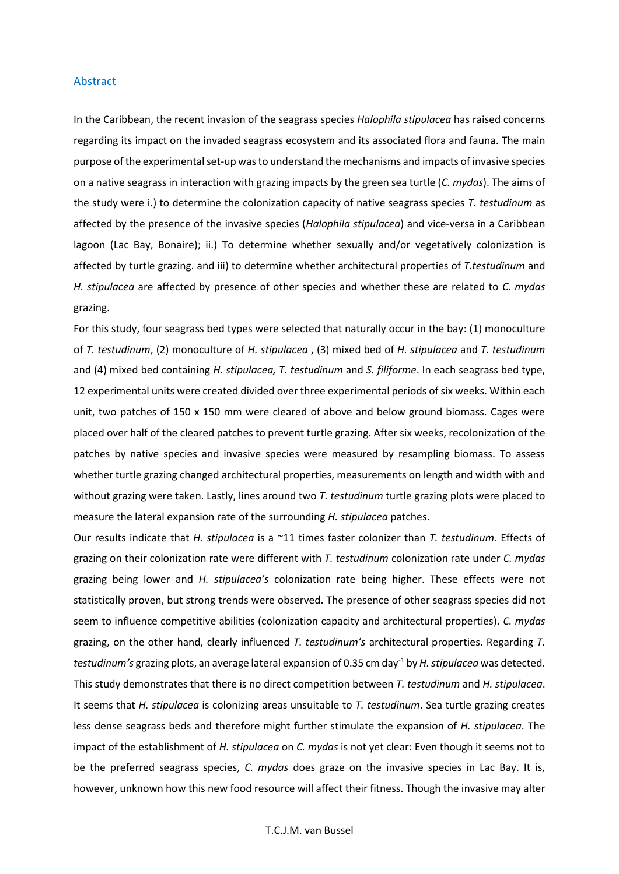## Abstract

In the Caribbean, the recent invasion of the seagrass species *Halophila stipulacea* has raised concerns regarding its impact on the invaded seagrass ecosystem and its associated flora and fauna. The main purpose of the experimental set-up was to understand the mechanisms and impacts of invasive species on a native seagrass in interaction with grazing impacts by the green sea turtle (*C. mydas*). The aims of the study were i.) to determine the colonization capacity of native seagrass species *T. testudinum* as affected by the presence of the invasive species (*Halophila stipulacea*) and vice-versa in a Caribbean lagoon (Lac Bay, Bonaire); ii.) To determine whether sexually and/or vegetatively colonization is affected by turtle grazing. and iii) to determine whether architectural properties of *T.testudinum* and *H. stipulacea* are affected by presence of other species and whether these are related to *C. mydas* grazing.

For this study, four seagrass bed types were selected that naturally occur in the bay: (1) monoculture of *T. testudinum*, (2) monoculture of *H. stipulacea* , (3) mixed bed of *H. stipulacea* and *T. testudinum* and (4) mixed bed containing *H. stipulacea, T. testudinum* and *S. filiforme*. In each seagrass bed type, 12 experimental units were created divided over three experimental periods of six weeks. Within each unit, two patches of 150 x 150 mm were cleared of above and below ground biomass. Cages were placed over half of the cleared patches to prevent turtle grazing. After six weeks, recolonization of the patches by native species and invasive species were measured by resampling biomass. To assess whether turtle grazing changed architectural properties, measurements on length and width with and without grazing were taken. Lastly, lines around two *T. testudinum* turtle grazing plots were placed to measure the lateral expansion rate of the surrounding *H. stipulacea* patches.

Our results indicate that *H. stipulacea* is a ~11 times faster colonizer than *T. testudinum.* Effects of grazing on their colonization rate were different with *T. testudinum* colonization rate under *C. mydas* grazing being lower and *H. stipulacea's* colonization rate being higher. These effects were not statistically proven, but strong trends were observed. The presence of other seagrass species did not seem to influence competitive abilities (colonization capacity and architectural properties). *C. mydas*  grazing, on the other hand, clearly influenced *T. testudinum's* architectural properties. Regarding *T. testudinum's* grazing plots, an average lateral expansion of 0.35 cm day-1 by *H. stipulacea* was detected. This study demonstrates that there is no direct competition between *T. testudinum* and *H. stipulacea*. It seems that *H. stipulacea* is colonizing areas unsuitable to *T. testudinum*. Sea turtle grazing creates less dense seagrass beds and therefore might further stimulate the expansion of *H. stipulacea*. The impact of the establishment of *H. stipulacea* on *C. mydas* is not yet clear: Even though it seems not to be the preferred seagrass species, *C. mydas* does graze on the invasive species in Lac Bay. It is, however, unknown how this new food resource will affect their fitness. Though the invasive may alter